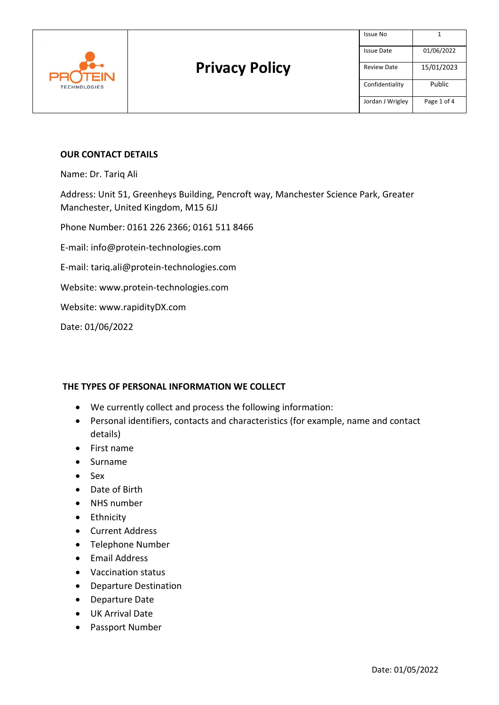

#### **OUR CONTACT DETAILS**

Name: Dr. Tariq Ali

Address: Unit 51, Greenheys Building, Pencroft way, Manchester Science Park, Greater Manchester, United Kingdom, M15 6JJ

Phone Number: 0161 226 2366; 0161 511 8466

E-mail: [info@protein-technologies.com](mailto:info@protein-technologies.com)

E-mail: [tariq.ali@protein-technologies.com](mailto:tariq.ali@protein-technologies.com)

Website: [www.protein-technologies.com](http://www.protein-technologies.com/)

Website: [www.rapidityDX.com](http://www.rapiditydx.com/)

Date: 01/06/2022

#### **THE TYPES OF PERSONAL INFORMATION WE COLLECT**

- We currently collect and process the following information:
- Personal identifiers, contacts and characteristics (for example, name and contact details)
- First name
- Surname
- Sex
- Date of Birth
- NHS number
- Ethnicity
- Current Address
- Telephone Number
- Email Address
- Vaccination status
- Departure Destination
- Departure Date
- UK Arrival Date
- Passport Number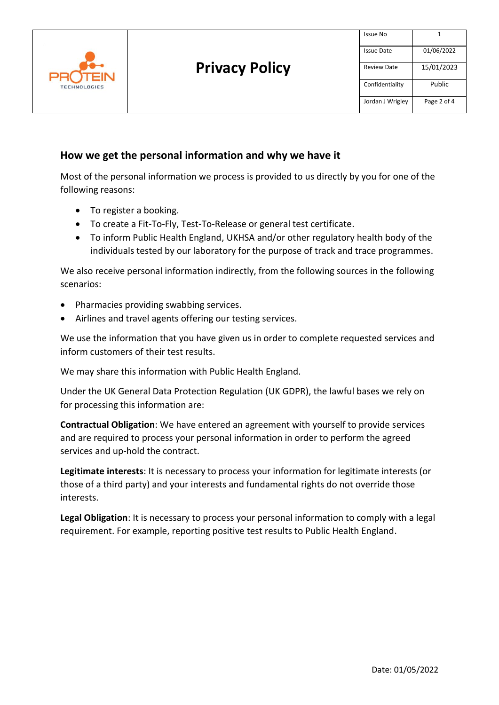

### **How we get the personal information and why we have it**

Most of the personal information we process is provided to us directly by you for one of the following reasons:

- To register a booking.
- To create a Fit-To-Fly, Test-To-Release or general test certificate.
- To inform Public Health England, UKHSA and/or other regulatory health body of the individuals tested by our laboratory for the purpose of track and trace programmes.

We also receive personal information indirectly, from the following sources in the following scenarios:

- Pharmacies providing swabbing services.
- Airlines and travel agents offering our testing services.

We use the information that you have given us in order to complete requested services and inform customers of their test results.

We may share this information with Public Health England.

Under the UK General Data Protection Regulation (UK GDPR), the lawful bases we rely on for processing this information are:

**Contractual Obligation**: We have entered an agreement with yourself to provide services and are required to process your personal information in order to perform the agreed services and up-hold the contract.

**Legitimate interests**: It is necessary to process your information for legitimate interests (or those of a third party) and your interests and fundamental rights do not override those interests.

**Legal Obligation**: It is necessary to process your personal information to comply with a legal requirement. For example, reporting positive test results to Public Health England.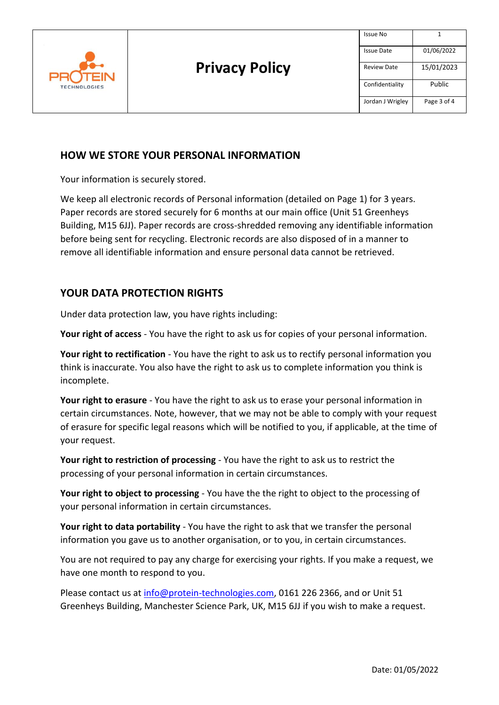

# **HOW WE STORE YOUR PERSONAL INFORMATION**

Your information is securely stored.

We keep all electronic records of Personal information (detailed on Page 1) for 3 years. Paper records are stored securely for 6 months at our main office (Unit 51 Greenheys Building, M15 6JJ). Paper records are cross-shredded removing any identifiable information before being sent for recycling. Electronic records are also disposed of in a manner to remove all identifiable information and ensure personal data cannot be retrieved.

# **YOUR DATA PROTECTION RIGHTS**

Under data protection law, you have rights including:

**Your right of access** - You have the right to ask us for copies of your personal information.

**Your right to rectification** - You have the right to ask us to rectify personal information you think is inaccurate. You also have the right to ask us to complete information you think is incomplete.

**Your right to erasure** - You have the right to ask us to erase your personal information in certain circumstances. Note, however, that we may not be able to comply with your request of erasure for specific legal reasons which will be notified to you, if applicable, at the time of your request.

**Your right to restriction of processing** - You have the right to ask us to restrict the processing of your personal information in certain circumstances.

**Your right to object to processing** - You have the the right to object to the processing of your personal information in certain circumstances.

**Your right to data portability** - You have the right to ask that we transfer the personal information you gave us to another organisation, or to you, in certain circumstances.

You are not required to pay any charge for exercising your rights. If you make a request, we have one month to respond to you.

Please contact us at [info@protein-technologies.com,](mailto:info@protein-technologies.com) 0161 226 2366, and or Unit 51 Greenheys Building, Manchester Science Park, UK, M15 6JJ if you wish to make a request.